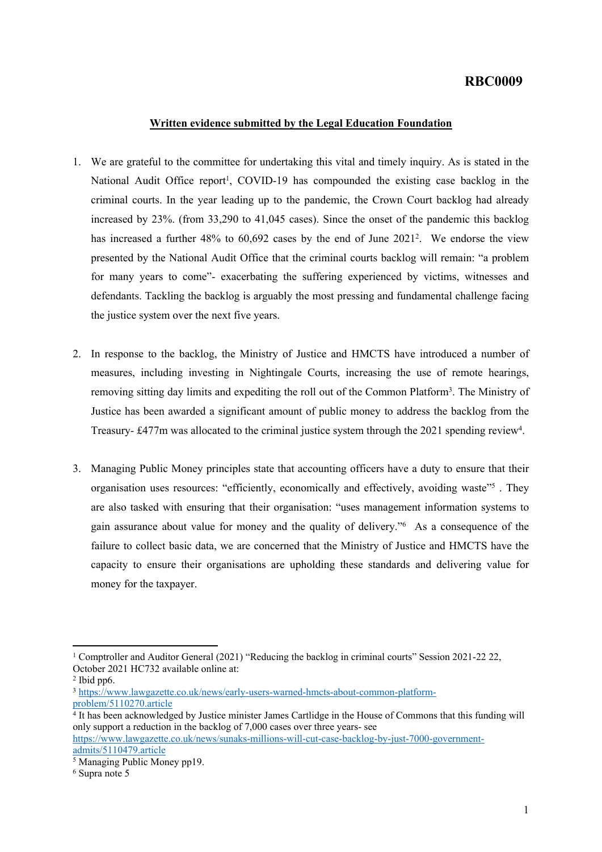## **RBC0009**

## **Written evidence submitted by the Legal Education Foundation**

- 1. We are grateful to the committee for undertaking this vital and timely inquiry. As is stated in the National Audit Office report<sup>1</sup>, COVID-19 has compounded the existing case backlog in the criminal courts. In the year leading up to the pandemic, the Crown Court backlog had already increased by 23%. (from 33,290 to 41,045 cases). Since the onset of the pandemic this backlog has increased a further 48% to 60,692 cases by the end of June 2021<sup>2</sup>. We endorse the view presented by the National Audit Office that the criminal courts backlog will remain: "a problem for many years to come"- exacerbating the suffering experienced by victims, witnesses and defendants. Tackling the backlog is arguably the most pressing and fundamental challenge facing the justice system over the next five years.
- 2. In response to the backlog, the Ministry of Justice and HMCTS have introduced a number of measures, including investing in Nightingale Courts, increasing the use of remote hearings, removing sitting day limits and expediting the roll out of the Common Platform<sup>3</sup>. The Ministry of Justice has been awarded a significant amount of public money to address the backlog from the Treasury- £477m was allocated to the criminal justice system through the 2021 spending review<sup>4</sup>.
- 3. Managing Public Money principles state that accounting officers have a duty to ensure that their organisation uses resources: "efficiently, economically and effectively, avoiding waste"<sup>5</sup>. They are also tasked with ensuring that their organisation: "uses management information systems to gain assurance about value for money and the quality of delivery."<sup>6</sup> As a consequence of the failure to collect basic data, we are concerned that the Ministry of Justice and HMCTS have the capacity to ensure their organisations are upholding these standards and delivering value for money for the taxpayer.

<sup>1</sup> Comptroller and Auditor General (2021) "Reducing the backlog in criminal courts" Session 2021-22 22, October 2021 HC732 available online at:

<sup>2</sup> Ibid pp6.

<sup>3</sup> [https://www.lawgazette.co.uk/news/early-users-warned-hmcts-about-common-platform](https://www.lawgazette.co.uk/news/early-users-warned-hmcts-about-common-platform-problem/5110270.article)[problem/5110270.article](https://www.lawgazette.co.uk/news/early-users-warned-hmcts-about-common-platform-problem/5110270.article)

<sup>4</sup> It has been acknowledged by Justice minister James Cartlidge in the House of Commons that this funding will only support a reduction in the backlog of 7,000 cases over three years- see [https://www.lawgazette.co.uk/news/sunaks-millions-will-cut-case-backlog-by-just-7000-government](https://www.lawgazette.co.uk/news/sunaks-millions-will-cut-case-backlog-by-just-7000-government-admits/5110479.article)[admits/5110479.article](https://www.lawgazette.co.uk/news/sunaks-millions-will-cut-case-backlog-by-just-7000-government-admits/5110479.article)

<sup>5</sup> Managing Public Money pp19.

<sup>6</sup> Supra note 5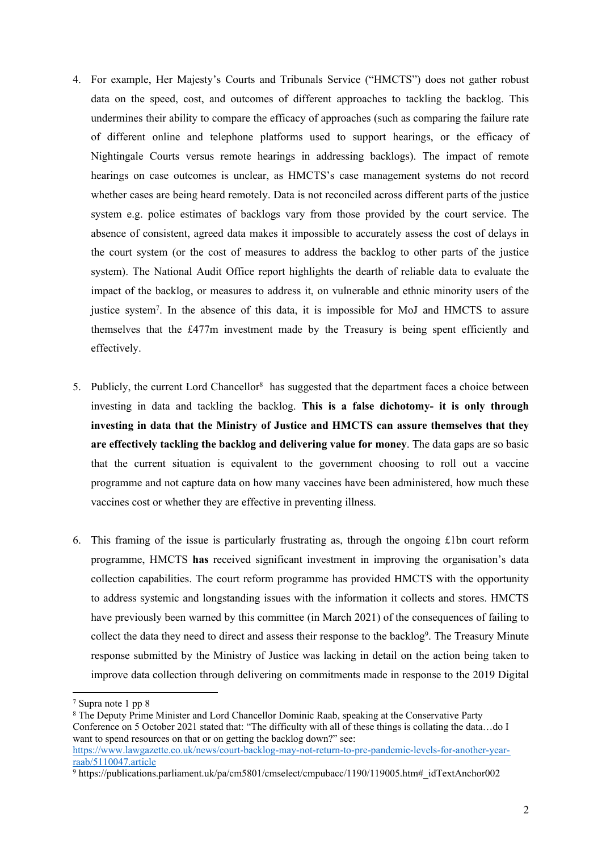- 4. For example, Her Majesty's Courts and Tribunals Service ("HMCTS") does not gather robust data on the speed, cost, and outcomes of different approaches to tackling the backlog. This undermines their ability to compare the efficacy of approaches (such as comparing the failure rate of different online and telephone platforms used to support hearings, or the efficacy of Nightingale Courts versus remote hearings in addressing backlogs). The impact of remote hearings on case outcomes is unclear, as HMCTS's case management systems do not record whether cases are being heard remotely. Data is not reconciled across different parts of the justice system e.g. police estimates of backlogs vary from those provided by the court service. The absence of consistent, agreed data makes it impossible to accurately assess the cost of delays in the court system (or the cost of measures to address the backlog to other parts of the justice system). The National Audit Office report highlights the dearth of reliable data to evaluate the impact of the backlog, or measures to address it, on vulnerable and ethnic minority users of the justice system<sup>7</sup>. In the absence of this data, it is impossible for MoJ and HMCTS to assure themselves that the £477m investment made by the Treasury is being spent efficiently and effectively.
- 5. Publicly, the current Lord Chancellor<sup>8</sup> has suggested that the department faces a choice between investing in data and tackling the backlog. **This is a false dichotomy- it is only through investing in data that the Ministry of Justice and HMCTS can assure themselves that they are effectively tackling the backlog and delivering value for money**. The data gaps are so basic that the current situation is equivalent to the government choosing to roll out a vaccine programme and not capture data on how many vaccines have been administered, how much these vaccines cost or whether they are effective in preventing illness.
- 6. This framing of the issue is particularly frustrating as, through the ongoing £1bn court reform programme, HMCTS **has** received significant investment in improving the organisation's data collection capabilities. The court reform programme has provided HMCTS with the opportunity to address systemic and longstanding issues with the information it collects and stores. HMCTS have previously been warned by this committee (in March 2021) of the consequences of failing to collect the data they need to direct and assess their response to the backlog<sup>9</sup>. The Treasury Minute response submitted by the Ministry of Justice was lacking in detail on the action being taken to improve data collection through delivering on commitments made in response to the 2019 Digital

<sup>7</sup> Supra note 1 pp 8

<sup>&</sup>lt;sup>8</sup> The Deputy Prime Minister and Lord Chancellor Dominic Raab, speaking at the Conservative Party Conference on 5 October 2021 stated that: "The difficulty with all of these things is collating the data…do I want to spend resources on that or on getting the backlog down?" see: [https://www.lawgazette.co.uk/news/court-backlog-may-not-return-to-pre-pandemic-levels-for-another-year](https://www.lawgazette.co.uk/news/court-backlog-may-not-return-to-pre-pandemic-levels-for-another-year-raab/5110047.article)[raab/5110047.article](https://www.lawgazette.co.uk/news/court-backlog-may-not-return-to-pre-pandemic-levels-for-another-year-raab/5110047.article)

 $9$  https://publications.parliament.uk/pa/cm5801/cmselect/cmpubacc/1190/119005.htm# idTextAnchor002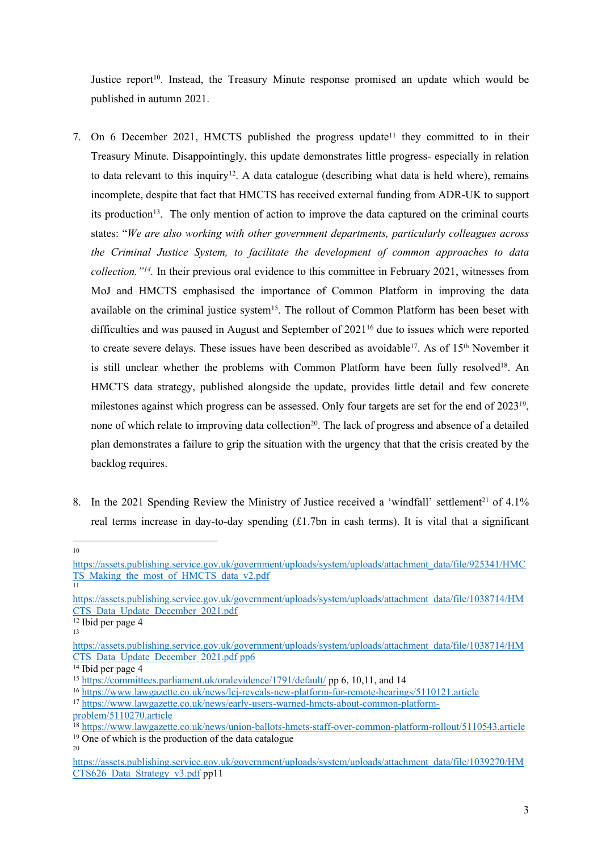Justice report<sup>10</sup>. Instead, the Treasury Minute response promised an update which would be published in autumn 2021.

- 7. On 6 December 2021, HMCTS published the progress update<sup>11</sup> they committed to in their Treasury Minute. Disappointingly, this update demonstrates little progress- especially in relation to data relevant to this inquiry<sup>12</sup>. A data catalogue (describing what data is held where), remains incomplete, despite that fact that HMCTS has received external funding from ADR-UK to support its production<sup>13</sup>. The only mention of action to improve the data captured on the criminal courts states: "*We are also working with other government departments, particularly colleagues across the Criminal Justice System, to facilitate the development of common approaches to data collection."<sup>14</sup> .* In their previous oral evidence to this committee in February 2021, witnesses from MoJ and HMCTS emphasised the importance of Common Platform in improving the data available on the criminal justice system<sup>15</sup>. The rollout of Common Platform has been beset with difficulties and was paused in August and September of 2021<sup>16</sup> due to issues which were reported to create severe delays. These issues have been described as avoidable<sup>17</sup>. As of 15<sup>th</sup> November it is still unclear whether the problems with Common Platform have been fully resolved<sup>18</sup>. An HMCTS data strategy, published alongside the update, provides little detail and few concrete milestones against which progress can be assessed. Only four targets are set for the end of 2023<sup>19</sup>, none of which relate to improving data collection<sup>20</sup>. The lack of progress and absence of a detailed plan demonstrates a failure to grip the situation with the urgency that that the crisis created by the backlog requires.
- 8. In the 2021 Spending Review the Ministry of Justice received a 'windfall' settlement<sup>21</sup> of  $4.1\%$ real terms increase in day-to-day spending (£1.7bn in cash terms). It is vital that a significant

10

 $12$  Ibid per page 4

[https://assets.publishing.service.gov.uk/government/uploads/system/uploads/attachment\\_data/file/925341/HMC](https://assets.publishing.service.gov.uk/government/uploads/system/uploads/attachment_data/file/925341/HMCTS_Making_the_most_of_HMCTS_data_v2.pdf) [TS\\_Making\\_the\\_most\\_of\\_HMCTS\\_data\\_v2.pdf](https://assets.publishing.service.gov.uk/government/uploads/system/uploads/attachment_data/file/925341/HMCTS_Making_the_most_of_HMCTS_data_v2.pdf)

<sup>11</sup>

[https://assets.publishing.service.gov.uk/government/uploads/system/uploads/attachment\\_data/file/1038714/HM](https://assets.publishing.service.gov.uk/government/uploads/system/uploads/attachment_data/file/1038714/HMCTS_Data_Update_December_2021.pdf) [CTS\\_Data\\_Update\\_December\\_2021.pdf](https://assets.publishing.service.gov.uk/government/uploads/system/uploads/attachment_data/file/1038714/HMCTS_Data_Update_December_2021.pdf)

<sup>13</sup>

[https://assets.publishing.service.gov.uk/government/uploads/system/uploads/attachment\\_data/file/1038714/HM](https://assets.publishing.service.gov.uk/government/uploads/system/uploads/attachment_data/file/1038714/HMCTS_Data_Update_December_2021.pdf%20pp6) [CTS\\_Data\\_Update\\_December\\_2021.pdf](https://assets.publishing.service.gov.uk/government/uploads/system/uploads/attachment_data/file/1038714/HMCTS_Data_Update_December_2021.pdf%20pp6) [pp6](https://assets.publishing.service.gov.uk/government/uploads/system/uploads/attachment_data/file/1038714/HMCTS_Data_Update_December_2021.pdf%20pp6)

 $\frac{1}{14}$  Ibid per page 4

<sup>15</sup> <https://committees.parliament.uk/oralevidence/1791/default/> pp 6, 10,11, and 14

<sup>16</sup> <https://www.lawgazette.co.uk/news/lcj-reveals-new-platform-for-remote-hearings/5110121.article>

<sup>17</sup> [https://www.lawgazette.co.uk/news/early-users-warned-hmcts-about-common-platform-](https://www.lawgazette.co.uk/news/early-users-warned-hmcts-about-common-platform-problem/5110270.article)

[problem/5110270.article](https://www.lawgazette.co.uk/news/early-users-warned-hmcts-about-common-platform-problem/5110270.article)

<sup>18</sup> <https://www.lawgazette.co.uk/news/union-ballots-hmcts-staff-over-common-platform-rollout/5110543.article> <sup>19</sup> One of which is the production of the data catalogue 20

[https://assets.publishing.service.gov.uk/government/uploads/system/uploads/attachment\\_data/file/1039270/HM](https://assets.publishing.service.gov.uk/government/uploads/system/uploads/attachment_data/file/1039270/HMCTS626_Data_Strategy_v3.pdf) [CTS626\\_Data\\_Strategy\\_v3.pdf](https://assets.publishing.service.gov.uk/government/uploads/system/uploads/attachment_data/file/1039270/HMCTS626_Data_Strategy_v3.pdf) pp11